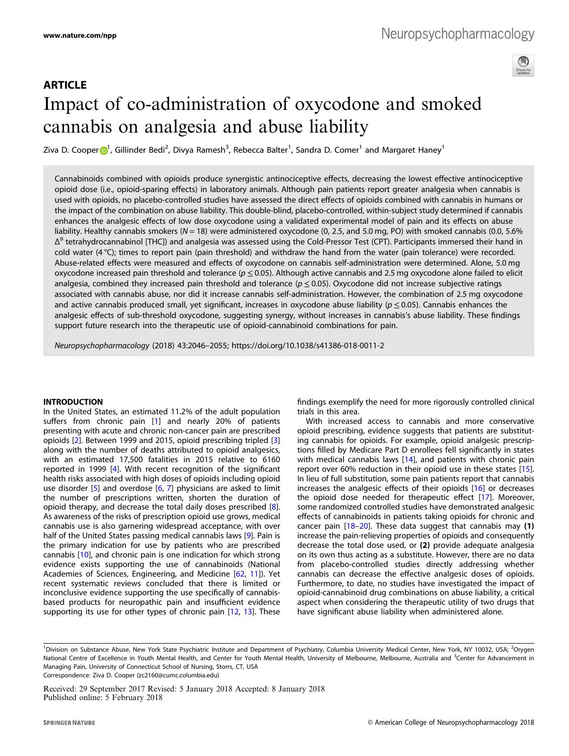# **ARTICLE** Impact of co-administration of oxycodone and smoked cannabis on analgesia and abuse liability

Ziva D. Coope[r](http://orcid.org/0000-0001-8001-2332) (D<sup>[1](http://orcid.org/0000-0001-8001-2332)</sup>, Gillinder Bedi<sup>2</sup>, Divya Ramesh<sup>3</sup>, Rebecca Balter<sup>1</sup>, Sandra D. Comer<sup>1</sup> and Margaret Haney<sup>1</sup>

Cannabinoids combined with opioids produce synergistic antinociceptive effects, decreasing the lowest effective antinociceptive opioid dose (i.e., opioid-sparing effects) in laboratory animals. Although pain patients report greater analgesia when cannabis is used with opioids, no placebo-controlled studies have assessed the direct effects of opioids combined with cannabis in humans or the impact of the combination on abuse liability. This double-blind, placebo-controlled, within-subject study determined if cannabis enhances the analgesic effects of low dose oxycodone using a validated experimental model of pain and its effects on abuse liability. Healthy cannabis smokers ( $N = 18$ ) were administered oxycodone (0, 2.5, and 5.0 mg, PO) with smoked cannabis (0.0, 5.6%  $\Delta^9$  tetrahydrocannabinol [THC]) and analgesia was assessed using the Cold-Pressor Test (CPT). Participants immersed their hand in cold water (4 °C); times to report pain (pain threshold) and withdraw the hand from the water (pain tolerance) were recorded. Abuse-related effects were measured and effects of oxycodone on cannabis self-administration were determined. Alone, 5.0 mg oxycodone increased pain threshold and tolerance ( $p \le 0.05$ ). Although active cannabis and 2.5 mg oxycodone alone failed to elicit analgesia, combined they increased pain threshold and tolerance ( $p \le 0.05$ ). Oxycodone did not increase subjective ratings associated with cannabis abuse, nor did it increase cannabis self-administration. However, the combination of 2.5 mg oxycodone and active cannabis produced small, yet significant, increases in oxycodone abuse liability ( $p < 0.05$ ). Cannabis enhances the analgesic effects of sub-threshold oxycodone, suggesting synergy, without increases in cannabis's abuse liability. These findings support future research into the therapeutic use of opioid-cannabinoid combinations for pain.

Neuropsychopharmacology (2018) 43:2046–2055; https://doi.org/10.1038/s41386-018-0011-2

#### INTRODUCTION

In the United States, an estimated 11.2% of the adult population suffers from chronic pain [\[1\]](#page-7-0) and nearly 20% of patients presenting with acute and chronic non-cancer pain are prescribed opioids [[2\]](#page-7-0). Between 1999 and 2015, opioid prescribing tripled [\[3\]](#page-7-0) along with the number of deaths attributed to opioid analgesics, with an estimated 17,500 fatalities in 2015 relative to 6160 reported in 1999 [[4](#page-7-0)]. With recent recognition of the significant health risks associated with high doses of opioids including opioid use disorder  $[5]$  $[5]$  $[5]$  and overdose  $[6, 7]$  $[6, 7]$  $[6, 7]$  $[6, 7]$  physicians are asked to limit the number of prescriptions written, shorten the duration of opioid therapy, and decrease the total daily doses prescribed [[8](#page-7-0)]. As awareness of the risks of prescription opioid use grows, medical cannabis use is also garnering widespread acceptance, with over half of the United States passing medical cannabis laws [\[9\]](#page-7-0). Pain is the primary indication for use by patients who are prescribed cannabis [[10\]](#page-7-0), and chronic pain is one indication for which strong evidence exists supporting the use of cannabinoids (National Academies of Sciences, Engineering, and Medicine [\[62](#page-9-0), [11\]](#page-7-0)). Yet recent systematic reviews concluded that there is limited or inconclusive evidence supporting the use specifically of cannabisbased products for neuropathic pain and insufficient evidence supporting its use for other types of chronic pain [[12](#page-7-0), [13](#page-8-0)]. These

findings exemplify the need for more rigorously controlled clinical trials in this area.

With increased access to cannabis and more conservative opioid prescribing, evidence suggests that patients are substituting cannabis for opioids. For example, opioid analgesic prescriptions filled by Medicare Part D enrollees fell significantly in states with medical cannabis laws [\[14\]](#page-8-0), and patients with chronic pain report over 60% reduction in their opioid use in these states [[15](#page-8-0)]. In lieu of full substitution, some pain patients report that cannabis increases the analgesic effects of their opioids [\[16](#page-8-0)] or decreases the opioid dose needed for therapeutic effect [[17\]](#page-8-0). Moreover, some randomized controlled studies have demonstrated analgesic effects of cannabinoids in patients taking opioids for chronic and cancer pain  $[18-20]$  $[18-20]$  $[18-20]$  $[18-20]$  $[18-20]$ . These data suggest that cannabis may (1) increase the pain-relieving properties of opioids and consequently decrease the total dose used, or (2) provide adequate analgesia on its own thus acting as a substitute. However, there are no data from placebo-controlled studies directly addressing whether cannabis can decrease the effective analgesic doses of opioids. Furthermore, to date, no studies have investigated the impact of opioid-cannabinoid drug combinations on abuse liability, a critical aspect when considering the therapeutic utility of two drugs that have significant abuse liability when administered alone.

Received: 29 September 2017 Revised: 5 January 2018 Accepted: 8 January 2018 Published online: 5 February 2018

<sup>&</sup>lt;sup>1</sup>Division on Substance Abuse, New York State Psychiatric Institute and Department of Psychiatry, Columbia University Medical Center, New York, NY 10032, USA; <sup>2</sup>Orygen National Centre of Excellence in Youth Mental Health, and Center for Youth Mental Health, University of Melbourne, Melbourne, Australia and <sup>3</sup>Center for Advancement in Managing Pain, University of Connecticut School of Nursing, Storrs, CT, USA Correspondence: Ziva D. Cooper [\(zc2160@cumc.columbia.edu\)](mailto:zc2160@cumc.columbia.edu)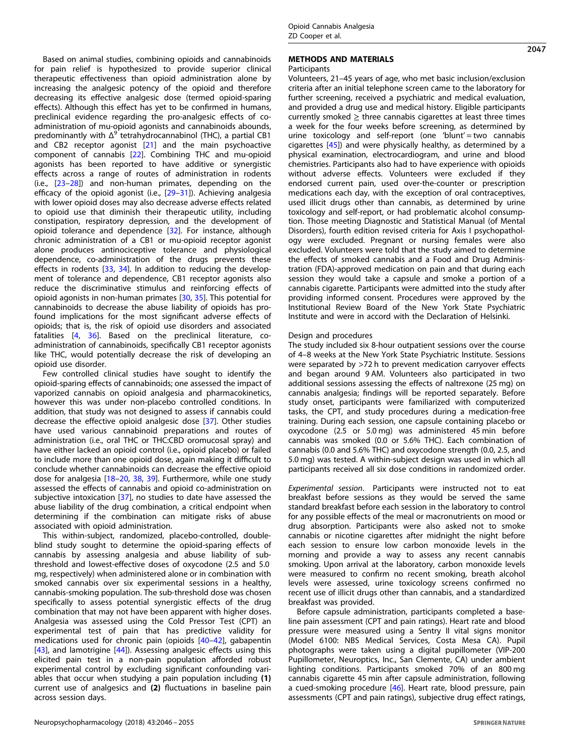Based on animal studies, combining opioids and cannabinoids for pain relief is hypothesized to provide superior clinical therapeutic effectiveness than opioid administration alone by increasing the analgesic potency of the opioid and therefore decreasing its effective analgesic dose (termed opioid-sparing effects). Although this effect has yet to be confirmed in humans, preclinical evidence regarding the pro-analgesic effects of coadministration of mu-opioid agonists and cannabinoids abounds, predominantly with  $\Delta^9$  tetrahydrocannabinol (THC), a partial CB1 and CB2 receptor agonist [\[21](#page-8-0)] and the main psychoactive component of cannabis [[22\]](#page-8-0). Combining THC and mu-opioid agonists has been reported to have additive or synergistic effects across a range of routes of administration in rodents (i.e., [[23](#page-8-0)–[28](#page-8-0)]) and non-human primates, depending on the efficacy of the opioid agonist (i.e.,  $[29-31]$  $[29-31]$  $[29-31]$  $[29-31]$ ). Achieving analgesia with lower opioid doses may also decrease adverse effects related to opioid use that diminish their therapeutic utility, including constipation, respiratory depression, and the development of opioid tolerance and dependence [\[32\]](#page-8-0). For instance, although chronic administration of a CB1 or mu-opioid receptor agonist alone produces antinociceptive tolerance and physiological dependence, co-administration of the drugs prevents these effects in rodents [[33,](#page-8-0) [34](#page-8-0)]. In addition to reducing the development of tolerance and dependence, CB1 receptor agonists also reduce the discriminative stimulus and reinforcing effects of opioid agonists in non-human primates [\[30](#page-8-0), [35\]](#page-8-0). This potential for cannabinoids to decrease the abuse liability of opioids has profound implications for the most significant adverse effects of opioids; that is, the risk of opioid use disorders and associated fatalities [[4](#page-7-0), [36](#page-8-0)]. Based on the preclinical literature, coadministration of cannabinoids, specifically CB1 receptor agonists like THC, would potentially decrease the risk of developing an

opioid use disorder. Few controlled clinical studies have sought to identify the opioid-sparing effects of cannabinoids; one assessed the impact of vaporized cannabis on opioid analgesia and pharmacokinetics, however this was under non-placebo controlled conditions. In addition, that study was not designed to assess if cannabis could decrease the effective opioid analgesic dose [\[37](#page-8-0)]. Other studies have used various cannabinoid preparations and routes of administration (i.e., oral THC or THC:CBD oromucosal spray) and have either lacked an opioid control (i.e., opioid placebo) or failed to include more than one opioid dose, again making it difficult to conclude whether cannabinoids can decrease the effective opioid dose for analgesia [[18](#page-8-0)–[20](#page-8-0), [38,](#page-8-0) [39\]](#page-8-0). Furthermore, while one study assessed the effects of cannabis and opioid co-administration on subjective intoxication [\[37](#page-8-0)], no studies to date have assessed the abuse liability of the drug combination, a critical endpoint when determining if the combination can mitigate risks of abuse associated with opioid administration.

This within-subject, randomized, placebo-controlled, doubleblind study sought to determine the opioid-sparing effects of cannabis by assessing analgesia and abuse liability of subthreshold and lowest-effective doses of oxycodone (2.5 and 5.0 mg, respectively) when administered alone or in combination with smoked cannabis over six experimental sessions in a healthy, cannabis-smoking population. The sub-threshold dose was chosen specifically to assess potential synergistic effects of the drug combination that may not have been apparent with higher doses. Analgesia was assessed using the Cold Pressor Test (CPT) an experimental test of pain that has predictive validity for medications used for chronic pain (opioids [[40](#page-8-0)–[42\]](#page-8-0), gabapentin [\[43\]](#page-8-0), and lamotrigine [[44\]](#page-8-0)). Assessing analgesic effects using this elicited pain test in a non-pain population afforded robust experimental control by excluding significant confounding variables that occur when studying a pain population including (1) current use of analgesics and (2) fluctuations in baseline pain across session days.

# METHODS AND MATERIALS

### **Participants**

Volunteers, 21–45 years of age, who met basic inclusion/exclusion criteria after an initial telephone screen came to the laboratory for further screening, received a psychiatric and medical evaluation, and provided a drug use and medical history. Eligible participants currently smoked  $\geq$  three cannabis cigarettes at least three times a week for the four weeks before screening, as determined by urine toxicology and self-report (one 'blunt' = two cannabis cigarettes [\[45](#page-8-0)]) and were physically healthy, as determined by a physical examination, electrocardiogram, and urine and blood chemistries. Participants also had to have experience with opioids without adverse effects. Volunteers were excluded if they endorsed current pain, used over-the-counter or prescription medications each day, with the exception of oral contraceptives, used illicit drugs other than cannabis, as determined by urine toxicology and self-report, or had problematic alcohol consumption. Those meeting Diagnostic and Statistical Manual (of Mental Disorders), fourth edition revised criteria for Axis I psychopathology were excluded. Pregnant or nursing females were also excluded. Volunteers were told that the study aimed to determine the effects of smoked cannabis and a Food and Drug Administration (FDA)-approved medication on pain and that during each session they would take a capsule and smoke a portion of a cannabis cigarette. Participants were admitted into the study after providing informed consent. Procedures were approved by the Institutional Review Board of the New York State Psychiatric Institute and were in accord with the Declaration of Helsinki.

#### Design and procedures

The study included six 8-hour outpatient sessions over the course of 4–8 weeks at the New York State Psychiatric Institute. Sessions were separated by >72 h to prevent medication carryover effects and began around 9 AM. Volunteers also participated in two additional sessions assessing the effects of naltrexone (25 mg) on cannabis analgesia; findings will be reported separately. Before study onset, participants were familiarized with computerized tasks, the CPT, and study procedures during a medication-free training. During each session, one capsule containing placebo or oxycodone (2.5 or 5.0 mg) was administered 45 min before cannabis was smoked (0.0 or 5.6% THC). Each combination of cannabis (0.0 and 5.6% THC) and oxycodone strength (0.0, 2.5, and 5.0 mg) was tested. A within-subject design was used in which all participants received all six dose conditions in randomized order.

Experimental session. Participants were instructed not to eat breakfast before sessions as they would be served the same standard breakfast before each session in the laboratory to control for any possible effects of the meal or macronutrients on mood or drug absorption. Participants were also asked not to smoke cannabis or nicotine cigarettes after midnight the night before each session to ensure low carbon monoxide levels in the morning and provide a way to assess any recent cannabis smoking. Upon arrival at the laboratory, carbon monoxide levels were measured to confirm no recent smoking, breath alcohol levels were assessed, urine toxicology screens confirmed no recent use of illicit drugs other than cannabis, and a standardized breakfast was provided.

Before capsule administration, participants completed a baseline pain assessment (CPT and pain ratings). Heart rate and blood pressure were measured using a Sentry II vital signs monitor (Model 6100: NBS Medical Services, Costa Mesa CA). Pupil photographs were taken using a digital pupillometer (VIP-200 Pupillometer, Neuroptics, Inc., San Clemente, CA) under ambient lighting conditions. Participants smoked 70% of an 800 mg cannabis cigarette 45 min after capsule administration, following a cued-smoking procedure [[46\]](#page-8-0). Heart rate, blood pressure, pain assessments (CPT and pain ratings), subjective drug effect ratings,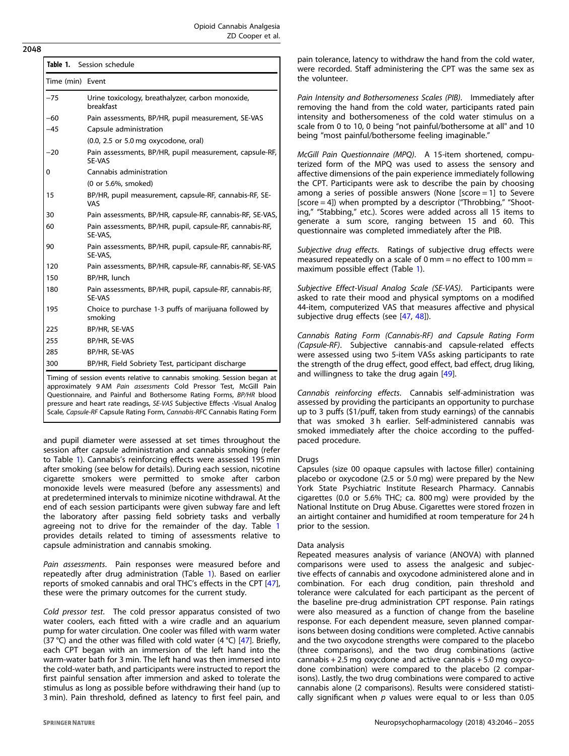| Time (min) Event |                                                                                                                                                                                                                                                                                                                                                                                |  |  |  |  |
|------------------|--------------------------------------------------------------------------------------------------------------------------------------------------------------------------------------------------------------------------------------------------------------------------------------------------------------------------------------------------------------------------------|--|--|--|--|
|                  |                                                                                                                                                                                                                                                                                                                                                                                |  |  |  |  |
| $-75$            | Urine toxicology, breathalyzer, carbon monoxide,<br>breakfast                                                                                                                                                                                                                                                                                                                  |  |  |  |  |
| -60              | Pain assessments, BP/HR, pupil measurement, SE-VAS                                                                                                                                                                                                                                                                                                                             |  |  |  |  |
| $-45$            | Capsule administration                                                                                                                                                                                                                                                                                                                                                         |  |  |  |  |
|                  | $(0.0, 2.5 \text{ or } 5.0 \text{ mg oxycodone, oral})$                                                                                                                                                                                                                                                                                                                        |  |  |  |  |
| -20              | Pain assessments, BP/HR, pupil measurement, capsule-RF,<br>SE-VAS                                                                                                                                                                                                                                                                                                              |  |  |  |  |
| 0                | Cannabis administration                                                                                                                                                                                                                                                                                                                                                        |  |  |  |  |
|                  | (0 or 5.6%, smoked)                                                                                                                                                                                                                                                                                                                                                            |  |  |  |  |
| 15               | BP/HR, pupil measurement, capsule-RF, cannabis-RF, SE-<br>VAS                                                                                                                                                                                                                                                                                                                  |  |  |  |  |
| 30               | Pain assessments, BP/HR, capsule-RF, cannabis-RF, SE-VAS,                                                                                                                                                                                                                                                                                                                      |  |  |  |  |
| 60               | Pain assessments, BP/HR, pupil, capsule-RF, cannabis-RF,<br>SE-VAS,                                                                                                                                                                                                                                                                                                            |  |  |  |  |
| 90               | Pain assessments, BP/HR, pupil, capsule-RF, cannabis-RF,<br>SE-VAS,                                                                                                                                                                                                                                                                                                            |  |  |  |  |
| 120              | Pain assessments, BP/HR, capsule-RF, cannabis-RF, SE-VAS                                                                                                                                                                                                                                                                                                                       |  |  |  |  |
| 150              | BP/HR, lunch                                                                                                                                                                                                                                                                                                                                                                   |  |  |  |  |
| 180              | Pain assessments, BP/HR, pupil, capsule-RF, cannabis-RF,<br><b>SE-VAS</b>                                                                                                                                                                                                                                                                                                      |  |  |  |  |
| 195              | Choice to purchase 1-3 puffs of marijuana followed by<br>smoking                                                                                                                                                                                                                                                                                                               |  |  |  |  |
| 225              | BP/HR, SE-VAS                                                                                                                                                                                                                                                                                                                                                                  |  |  |  |  |
| 255              | BP/HR, SE-VAS                                                                                                                                                                                                                                                                                                                                                                  |  |  |  |  |
| 285              | BP/HR, SE-VAS                                                                                                                                                                                                                                                                                                                                                                  |  |  |  |  |
| 300              | BP/HR, Field Sobriety Test, participant discharge                                                                                                                                                                                                                                                                                                                              |  |  |  |  |
|                  | Timing of session events relative to cannabis smoking. Session began at<br>approximately 9 AM Pain assessments Cold Pressor Test, McGill Pain<br>Questionnaire, and Painful and Bothersome Rating Forms, BP/HR blood<br>pressure and heart rate readings, SE-VAS Subjective Effects -Visual Analog<br>Scale, Capsule-RF Capsule Rating Form, Cannabis-RFC Cannabis Rating Form |  |  |  |  |

and pupil diameter were assessed at set times throughout the session after capsule administration and cannabis smoking (refer to Table 1). Cannabis's reinforcing effects were assessed 195 min after smoking (see below for details). During each session, nicotine cigarette smokers were permitted to smoke after carbon monoxide levels were measured (before any assessments) and at predetermined intervals to minimize nicotine withdrawal. At the end of each session participants were given subway fare and left the laboratory after passing field sobriety tasks and verbally agreeing not to drive for the remainder of the day. Table 1 provides details related to timing of assessments relative to capsule administration and cannabis smoking.

Pain assessments. Pain responses were measured before and repeatedly after drug administration (Table 1). Based on earlier reports of smoked cannabis and oral THC's effects in the CPT [[47](#page-8-0)], these were the primary outcomes for the current study.

Cold pressor test. The cold pressor apparatus consisted of two water coolers, each fitted with a wire cradle and an aquarium pump for water circulation. One cooler was filled with warm water (37 °C) and the other was filled with cold water (4 °C) [\[47](#page-8-0)]. Briefly, each CPT began with an immersion of the left hand into the warm-water bath for 3 min. The left hand was then immersed into the cold-water bath, and participants were instructed to report the first painful sensation after immersion and asked to tolerate the stimulus as long as possible before withdrawing their hand (up to 3 min). Pain threshold, defined as latency to first feel pain, and

pain tolerance, latency to withdraw the hand from the cold water, were recorded. Staff administering the CPT was the same sex as the volunteer.

Pain Intensity and Bothersomeness Scales (PIB). Immediately after removing the hand from the cold water, participants rated pain intensity and bothersomeness of the cold water stimulus on a scale from 0 to 10, 0 being "not painful/bothersome at all" and 10 being "most painful/bothersome feeling imaginable."

McGill Pain Questionnaire (MPQ). A 15-item shortened, computerized form of the MPQ was used to assess the sensory and affective dimensions of the pain experience immediately following the CPT. Participants were ask to describe the pain by choosing among a series of possible answers (None [score = 1] to Severe [score = 4]) when prompted by a descriptor ("Throbbing," "Shooting," "Stabbing," etc.). Scores were added across all 15 items to generate a sum score, ranging between 15 and 60. This questionnaire was completed immediately after the PIB.

Subjective drug effects. Ratings of subjective drug effects were measured repeatedly on a scale of  $0 \text{ mm} = \text{no effect to } 100 \text{ mm} =$ maximum possible effect (Table 1).

Subjective Effect-Visual Analog Scale (SE-VAS). Participants were asked to rate their mood and physical symptoms on a modified 44-item, computerized VAS that measures affective and physical subjective drug effects (see [\[47](#page-8-0), [48](#page-8-0)]).

Cannabis Rating Form (Cannabis-RF) and Capsule Rating Form (Capsule-RF). Subjective cannabis-and capsule-related effects were assessed using two 5-item VASs asking participants to rate the strength of the drug effect, good effect, bad effect, drug liking, and willingness to take the drug again [\[49\]](#page-8-0).

Cannabis reinforcing effects. Cannabis self-administration was assessed by providing the participants an opportunity to purchase up to 3 puffs (\$1/puff, taken from study earnings) of the cannabis that was smoked 3 h earlier. Self-administered cannabis was smoked immediately after the choice according to the puffedpaced procedure.

# **Drugs**

Capsules (size 00 opaque capsules with lactose filler) containing placebo or oxycodone (2.5 or 5.0 mg) were prepared by the New York State Psychiatric Institute Research Pharmacy. Cannabis cigarettes (0.0 or 5.6% THC; ca. 800 mg) were provided by the National Institute on Drug Abuse. Cigarettes were stored frozen in an airtight container and humidified at room temperature for 24 h prior to the session.

# Data analysis

Repeated measures analysis of variance (ANOVA) with planned comparisons were used to assess the analgesic and subjective effects of cannabis and oxycodone administered alone and in combination. For each drug condition, pain threshold and tolerance were calculated for each participant as the percent of the baseline pre-drug administration CPT response. Pain ratings were also measured as a function of change from the baseline response. For each dependent measure, seven planned comparisons between dosing conditions were completed. Active cannabis and the two oxycodone strengths were compared to the placebo (three comparisons), and the two drug combinations (active cannabis  $+ 2.5$  mg oxycdone and active cannabis  $+ 5.0$  mg oxycodone combination) were compared to the placebo (2 comparisons). Lastly, the two drug combinations were compared to active cannabis alone (2 comparisons). Results were considered statistically significant when  $p$  values were equal to or less than 0.05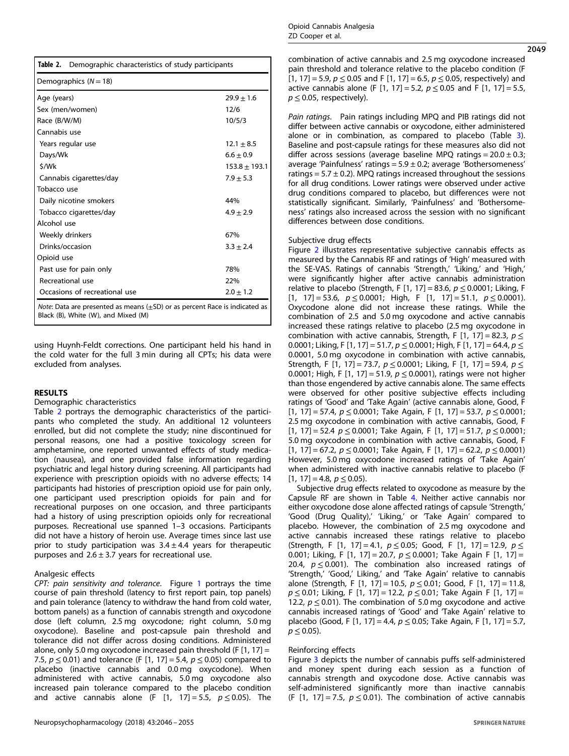| Table 2.<br>Demographic characteristics of study participants                           |                   |  |  |  |  |
|-----------------------------------------------------------------------------------------|-------------------|--|--|--|--|
| Demographics $(N = 18)$                                                                 |                   |  |  |  |  |
| Age (years)                                                                             | $29.9 + 1.6$      |  |  |  |  |
| Sex (men/women)                                                                         | 12/6              |  |  |  |  |
| Race (B/W/M)                                                                            | 10/5/3            |  |  |  |  |
| Cannabis use                                                                            |                   |  |  |  |  |
| Years regular use                                                                       | $12.1 + 8.5$      |  |  |  |  |
| Days/Wk                                                                                 | $6.6 \pm 0.9$     |  |  |  |  |
| \$/Wk                                                                                   | $153.8 \pm 193.1$ |  |  |  |  |
| Cannabis cigarettes/day                                                                 | $7.9 + 5.3$       |  |  |  |  |
| Tobacco use                                                                             |                   |  |  |  |  |
| Daily nicotine smokers                                                                  | 44%               |  |  |  |  |
| Tobacco cigarettes/day                                                                  | $4.9 + 2.9$       |  |  |  |  |
| Alcohol use                                                                             |                   |  |  |  |  |
| Weekly drinkers                                                                         | 67%               |  |  |  |  |
| Drinks/occasion                                                                         | $3.3 \pm 2.4$     |  |  |  |  |
| Opioid use                                                                              |                   |  |  |  |  |
| Past use for pain only                                                                  | 78%               |  |  |  |  |
| Recreational use                                                                        | 22%               |  |  |  |  |
| Occasions of recreational use                                                           | $2.0 \pm 1.2$     |  |  |  |  |
| <i>Note</i> : Data are presented as means $(\pm SD)$ or as percent Race is indicated as |                   |  |  |  |  |

Black (B), White (W), and Mixed (M)

using Huynh-Feldt corrections. One participant held his hand in the cold water for the full 3 min during all CPTs; his data were excluded from analyses.

#### RESULTS

#### Demographic characteristics

Table 2 portrays the demographic characteristics of the participants who completed the study. An additional 12 volunteers enrolled, but did not complete the study; nine discontinued for personal reasons, one had a positive toxicology screen for amphetamine, one reported unwanted effects of study medication (nausea), and one provided false information regarding psychiatric and legal history during screening. All participants had experience with prescription opioids with no adverse effects; 14 participants had histories of prescription opioid use for pain only, one participant used prescription opioids for pain and for recreational purposes on one occasion, and three participants had a history of using prescription opioids only for recreational purposes. Recreational use spanned 1–3 occasions. Participants did not have a history of heroin use. Average times since last use prior to study participation was  $3.4 \pm 4.4$  years for therapeutic purposes and  $2.6 \pm 3.7$  years for recreational use.

# Analgesic effects

CPT: pain sensitivity and tolerance. Figure [1](#page-4-0) portrays the time course of pain threshold (latency to first report pain, top panels) and pain tolerance (latency to withdraw the hand from cold water, bottom panels) as a function of cannabis strength and oxycodone dose (left column, 2.5 mg oxycodone; right column, 5.0 mg oxycodone). Baseline and post-capsule pain threshold and tolerance did not differ across dosing conditions. Administered alone, only 5.0 mg oxycodone increased pain threshold (F $[1, 17] =$ 7.5,  $p$  ≤ 0.01) and tolerance (F [1, 17] = 5.4,  $p$  ≤ 0.05) compared to placebo (inactive cannabis and 0.0 mg oxycodone). When administered with active cannabis, 5.0 mg oxycodone also increased pain tolerance compared to the placebo condition and active cannabis alone (F  $[1, 17] = 5.5, p \le 0.05$ ). The 2049

combination of active cannabis and 2.5 mg oxycodone increased pain threshold and tolerance relative to the placebo condition (F [1, 17] = 5.9,  $p \le 0.05$  and F [1, 17] = 6.5,  $p \le 0.05$ , respectively) and active cannabis alone (F [1, 17] = 5.2,  $p \le 0.05$  and F [1, 17] = 5.5,  $p \leq 0.05$ , respectively).

Pain ratings. Pain ratings including MPQ and PIB ratings did not differ between active cannabis or oxycodone, either administered alone or in combination, as compared to placebo (Table [3\)](#page-5-0). Baseline and post-capsule ratings for these measures also did not differ across sessions (average baseline MPQ ratings =  $20.0 \pm 0.3$ ; average 'Painfulness' ratings =  $5.9 \pm 0.2$ ; average 'Bothersomeness' ratings =  $5.7 \pm 0.2$ ). MPO ratings increased throughout the sessions for all drug conditions. Lower ratings were observed under active drug conditions compared to placebo, but differences were not statistically significant. Similarly, 'Painfulness' and 'Bothersomeness' ratings also increased across the session with no significant differences between dose conditions.

# Subjective drug effects

Figure [2](#page-6-0) illustrates representative subjective cannabis effects as measured by the Cannabis RF and ratings of 'High' measured with the SE-VAS. Ratings of cannabis 'Strength,' 'Liking,' and 'High,' were significantly higher after active cannabis administration relative to placebo (Strength, F [1, 17] = 83.6,  $p \le 0.0001$ ; Liking, F [1, 17] = 53.6,  $p \le 0.0001$ ; High, F [1, 17] = 51.1,  $p \le 0.0001$ ). Oxycodone alone did not increase these ratings. While the combination of 2.5 and 5.0 mg oxycodone and active cannabis increased these ratings relative to placebo (2.5 mg oxycodone in combination with active cannabis, Strength, F [1, 17] = 82.3,  $p \le$ 0.0001; Liking, F [1, 17] = 51.7,  $p \le 0.0001$ ; High, F [1, 17] = 64.4,  $p \le$ 0.0001, 5.0 mg oxycodone in combination with active cannabis, Strength, F [1, 17] = 73.7,  $p \le 0.0001$ ; Liking, F [1, 17] = 59.4,  $p \le$ 0.0001; High, F [1, 17] = 51.9,  $p \le 0.0001$ ), ratings were not higher than those engendered by active cannabis alone. The same effects were observed for other positive subjective effects including ratings of 'Good' and 'Take Again' (active cannabis alone, Good, F [1, 17] = 57.4,  $p \le 0.0001$ ; Take Again, F [1, 17] = 53.7,  $p \le 0.0001$ ; 2.5 mg oxycodone in combination with active cannabis, Good, F [1, 17] = 52.4  $p \le 0.0001$ ; Take Again, F [1, 17] = 51.7,  $p \le 0.0001$ ; 5.0 mg oxycodone in combination with active cannabis, Good, F [1, 17] = 67.2,  $p \le 0.0001$ ; Take Again, F [1, 17] = 62.2,  $p \le 0.0001$ ) However, 5.0 mg oxycodone increased ratings of 'Take Again' when administered with inactive cannabis relative to placebo (F  $[1, 17] = 4.8, p \le 0.05$ ).

Subjective drug effects related to oxycodone as measure by the Capsule RF are shown in Table [4](#page-6-0). Neither active cannabis nor either oxycodone dose alone affected ratings of capsule 'Strength,' 'Good (Drug Quality),' 'Liking,' or 'Take Again' compared to placebo. However, the combination of 2.5 mg oxycodone and active cannabis increased these ratings relative to placebo (Strength, F [1, 17] = 4.1,  $p \le 0.05$ ; Good, F [1, 17] = 12.9,  $p \le$ 0.001; Liking, F [1, 17] = 20.7,  $p \le 0.0001$ ; Take Again F [1, 17] = 20.4,  $p \le 0.001$ ). The combination also increased ratings of 'Strength,' 'Good,' Liking,' and 'Take Again' relative to cannabis alone (Strength, F [1, 17] = 10.5,  $p \le 0.01$ ; Good, F [1, 17] = 11.8,  $p \le 0.01$ ; Liking, F [1, 17] = 12.2,  $p \le 0.01$ ; Take Again F [1, 17] = 12.2,  $p \le 0.01$ ). The combination of 5.0 mg oxycodone and active cannabis increased ratings of 'Good' and 'Take Again' relative to placebo (Good, F [1, 17] = 4.4,  $p \le 0.05$ ; Take Again, F [1, 17] = 5.7,  $p \leq 0.05$ ).

# Reinforcing effects

Figure [3](#page-7-0) depicts the number of cannabis puffs self-administered and money spent during each session as a function of cannabis strength and oxycodone dose. Active cannabis was self-administered significantly more than inactive cannabis (F [1, 17] = 7.5,  $p \le 0.01$ ). The combination of active cannabis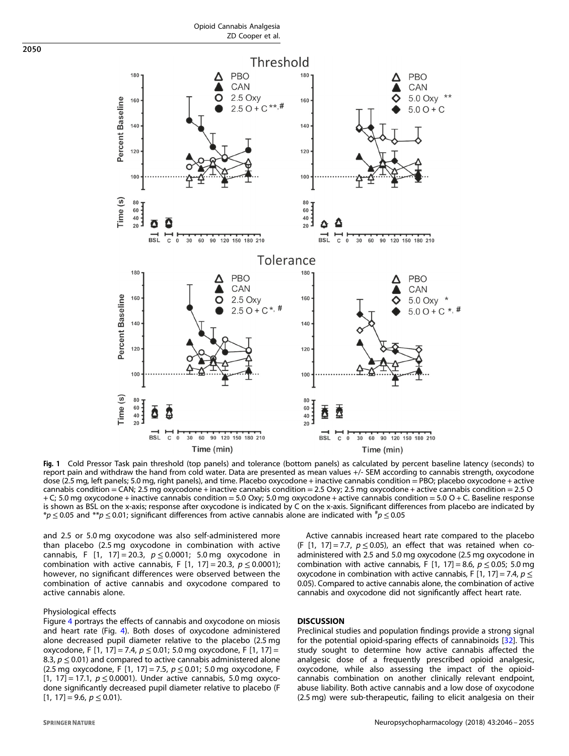<span id="page-4-0"></span>

Fig. 1 Cold Pressor Task pain threshold (top panels) and tolerance (bottom panels) as calculated by percent baseline latency (seconds) to report pain and withdraw the hand from cold water. Data are presented as mean values +/- SEM according to cannabis strength, oxycodone dose (2.5 mg, left panels; 5.0 mg, right panels), and time. Placebo oxycodone + inactive cannabis condition = PBO; placebo oxycodone + active cannabis condition = CAN; 2.5 mg oxycodone + inactive cannabis condition = 2.5 Oxy; 2.5 mg oxycodone + active cannabis condition = 2.5 O + C; 5.0 mg oxycodone + inactive cannabis condition = 5.0 Oxy; 5.0 mg oxycodone + active cannabis condition = 5.0 O + C. Baseline response is shown as BSL on the x-axis; response after oxycodone is indicated by C on the x-axis. Significant differences from placebo are indicated by \*p  $\leq$  0.05 and \*\*p  $\leq$  0.01; significant differences from active cannabis alone are indicated with  $^{\#}p$   $\leq$  0.05

and 2.5 or 5.0 mg oxycodone was also self-administered more than placebo (2.5 mg oxycodone in combination with active cannabis, F [1, 17] = 20.3,  $p \le 0.0001$ ; 5.0 mg oxycodone in combination with active cannabis, F  $[1, 17] = 20.3$ ,  $p \le 0.0001$ ); however, no significant differences were observed between the combination of active cannabis and oxycodone compared to active cannabis alone.

#### Physiological effects

Figure [4](#page-7-0) portrays the effects of cannabis and oxycodone on miosis and heart rate (Fig. [4\)](#page-7-0). Both doses of oxycodone administered alone decreased pupil diameter relative to the placebo (2.5 mg oxycodone, F [1, 17] = 7.4,  $p \le 0.01$ ; 5.0 mg oxycodone, F [1, 17] = 8.3,  $p \le 0.01$ ) and compared to active cannabis administered alone (2.5 mg oxycodone, F [1, 17] = 7.5,  $p \le 0.01$ ; 5.0 mg oxycodone, F [1, 17] = 17.1,  $p \le 0.0001$ ). Under active cannabis, 5.0 mg oxycodone significantly decreased pupil diameter relative to placebo (F  $[1, 17] = 9.6, p \le 0.01$ .

Active cannabis increased heart rate compared to the placebo (F [1, 17] = 7.7,  $p \le 0.05$ ), an effect that was retained when coadministered with 2.5 and 5.0 mg oxycodone (2.5 mg oxycodone in combination with active cannabis, F [1, 17] = 8.6,  $p \le 0.05$ ; 5.0 mg oxycodone in combination with active cannabis, F [1, 17] = 7.4,  $p \le$ 0.05). Compared to active cannabis alone, the combination of active cannabis and oxycodone did not significantly affect heart rate.

### **DISCUSSION**

Preclinical studies and population findings provide a strong signal for the potential opioid-sparing effects of cannabinoids [[32](#page-8-0)]. This study sought to determine how active cannabis affected the analgesic dose of a frequently prescribed opioid analgesic, oxycodone, while also assessing the impact of the opioidcannabis combination on another clinically relevant endpoint, abuse liability. Both active cannabis and a low dose of oxycodone (2.5 mg) were sub-therapeutic, failing to elicit analgesia on their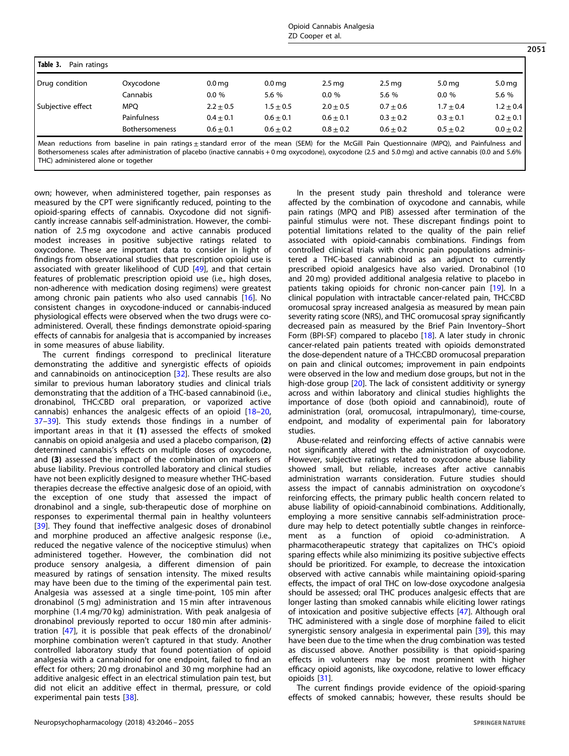Opioid Cannabis Analgesia ZD Cooper et al.

<span id="page-5-0"></span>

| Table 3.<br>Pain ratings |                |                   |                   |                   |                   |                   |                   |
|--------------------------|----------------|-------------------|-------------------|-------------------|-------------------|-------------------|-------------------|
| Drug condition           | Oxycodone      | 0.0 <sub>mg</sub> | 0.0 <sub>mg</sub> | 2.5 <sub>mg</sub> | 2.5 <sub>mg</sub> | 5.0 <sub>mg</sub> | 5.0 <sub>mg</sub> |
|                          | Cannabis       | $0.0 \%$          | 5.6 %             | 0.0%              | 5.6 %             | $0.0 \%$          | 5.6 %             |
| Subjective effect        | <b>MPO</b>     | $2.2 \pm 0.5$     | $1.5 \pm 0.5$     | $2.0 \pm 0.5$     | $0.7 \pm 0.6$     | $1.7 \pm 0.4$     | $1.2 \pm 0.4$     |
|                          | Painfulness    | $0.4 \pm 0.1$     | $0.6 + 0.1$       | $0.6 + 0.1$       | $0.3 \pm 0.2$     | $0.3 \pm 0.1$     | $0.2 \pm 0.1$     |
|                          | Bothersomeness | $0.6 + 0.1$       | $0.6 + 0.2$       | $0.8 + 0.2$       | $0.6 + 0.2$       | $0.5 + 0.2$       | $0.0 \pm 0.2$     |

Mean reductions from baseline in pain ratings ± standard error of the mean (SEM) for the McGill Pain Questionnaire (MPQ), and Painfulness and Bothersomeness scales after administration of placebo (inactive cannabis + 0 mg oxycodone), oxycodone (2.5 and 5.0 mg) and active cannabis (0.0 and 5.6% THC) administered alone or together

own; however, when administered together, pain responses as measured by the CPT were significantly reduced, pointing to the opioid-sparing effects of cannabis. Oxycodone did not significantly increase cannabis self-administration. However, the combination of 2.5 mg oxycodone and active cannabis produced modest increases in positive subjective ratings related to oxycodone. These are important data to consider in light of findings from observational studies that prescription opioid use is associated with greater likelihood of CUD [\[49](#page-8-0)], and that certain features of problematic prescription opioid use (i.e., high doses, non-adherence with medication dosing regimens) were greatest among chronic pain patients who also used cannabis [\[16\]](#page-8-0). No consistent changes in oxycodone-induced or cannabis-induced physiological effects were observed when the two drugs were coadministered. Overall, these findings demonstrate opioid-sparing effects of cannabis for analgesia that is accompanied by increases in some measures of abuse liability.

The current findings correspond to preclinical literature demonstrating the additive and synergistic effects of opioids and cannabinoids on antinociception [[32\]](#page-8-0). These results are also similar to previous human laboratory studies and clinical trials demonstrating that the addition of a THC-based cannabinoid (i.e., dronabinol, THC:CBD oral preparation, or vaporized active cannabis) enhances the analgesic effects of an opioid [\[18](#page-8-0)–[20](#page-8-0), [37](#page-8-0)–[39\]](#page-8-0). This study extends those findings in a number of important areas in that it (1) assessed the effects of smoked cannabis on opioid analgesia and used a placebo comparison, (2) determined cannabis's effects on multiple doses of oxycodone, and (3) assessed the impact of the combination on markers of abuse liability. Previous controlled laboratory and clinical studies have not been explicitly designed to measure whether THC-based therapies decrease the effective analgesic dose of an opioid, with the exception of one study that assessed the impact of dronabinol and a single, sub-therapeutic dose of morphine on responses to experimental thermal pain in healthy volunteers [\[39\]](#page-8-0). They found that ineffective analgesic doses of dronabinol and morphine produced an affective analgesic response (i.e., reduced the negative valence of the nociceptive stimulus) when administered together. However, the combination did not produce sensory analgesia, a different dimension of pain measured by ratings of sensation intensity. The mixed results may have been due to the timing of the experimental pain test. Analgesia was assessed at a single time-point, 105 min after dronabinol (5 mg) administration and 15 min after intravenous morphine (1.4 mg/70 kg) administration. With peak analgesia of dronabinol previously reported to occur 180 min after administration [[47](#page-8-0)], it is possible that peak effects of the dronabinol/ morphine combination weren't captured in that study. Another controlled laboratory study that found potentiation of opioid analgesia with a cannabinoid for one endpoint, failed to find an effect for others; 20 mg dronabinol and 30 mg morphine had an additive analgesic effect in an electrical stimulation pain test, but did not elicit an additive effect in thermal, pressure, or cold experimental pain tests [\[38](#page-8-0)].

In the present study pain threshold and tolerance were affected by the combination of oxycodone and cannabis, while pain ratings (MPQ and PIB) assessed after termination of the painful stimulus were not. These discrepant findings point to potential limitations related to the quality of the pain relief associated with opioid-cannabis combinations. Findings from controlled clinical trials with chronic pain populations administered a THC-based cannabinoid as an adjunct to currently prescribed opioid analgesics have also varied. Dronabinol (10 and 20 mg) provided additional analgesia relative to placebo in patients taking opioids for chronic non-cancer pain [[19\]](#page-8-0). In a clinical population with intractable cancer-related pain, THC:CBD oromucosal spray increased analgesia as measured by mean pain severity rating score (NRS), and THC oromucosal spray significantly decreased pain as measured by the Brief Pain Inventory–Short Form (BPI-SF) compared to placebo [\[18\]](#page-8-0). A later study in chronic cancer-related pain patients treated with opioids demonstrated the dose-dependent nature of a THC:CBD oromucosal preparation on pain and clinical outcomes; improvement in pain endpoints were observed in the low and medium dose groups, but not in the high-dose group [\[20\]](#page-8-0). The lack of consistent additivity or synergy across and within laboratory and clinical studies highlights the importance of dose (both opioid and cannabinoid), route of administration (oral, oromucosal, intrapulmonary), time-course, endpoint, and modality of experimental pain for laboratory studies.

Abuse-related and reinforcing effects of active cannabis were not significantly altered with the administration of oxycodone. However, subjective ratings related to oxycodone abuse liability showed small, but reliable, increases after active cannabis administration warrants consideration. Future studies should assess the impact of cannabis administration on oxycodone's reinforcing effects, the primary public health concern related to abuse liability of opioid-cannabinoid combinations. Additionally, employing a more sensitive cannabis self-administration procedure may help to detect potentially subtle changes in reinforcement as a function of opioid co-administration. A pharmacotherapeutic strategy that capitalizes on THC's opioid sparing effects while also minimizing its positive subjective effects should be prioritized. For example, to decrease the intoxication observed with active cannabis while maintaining opioid-sparing effects, the impact of oral THC on low-dose oxycodone analgesia should be assessed; oral THC produces analgesic effects that are longer lasting than smoked cannabis while eliciting lower ratings of intoxication and positive subjective effects [\[47](#page-8-0)]. Although oral THC administered with a single dose of morphine failed to elicit synergistic sensory analgesia in experimental pain [\[39](#page-8-0)], this may have been due to the time when the drug combination was tested as discussed above. Another possibility is that opioid-sparing effects in volunteers may be most prominent with higher efficacy opioid agonists, like oxycodone, relative to lower efficacy opioids [[31\]](#page-8-0).

The current findings provide evidence of the opioid-sparing effects of smoked cannabis; however, these results should be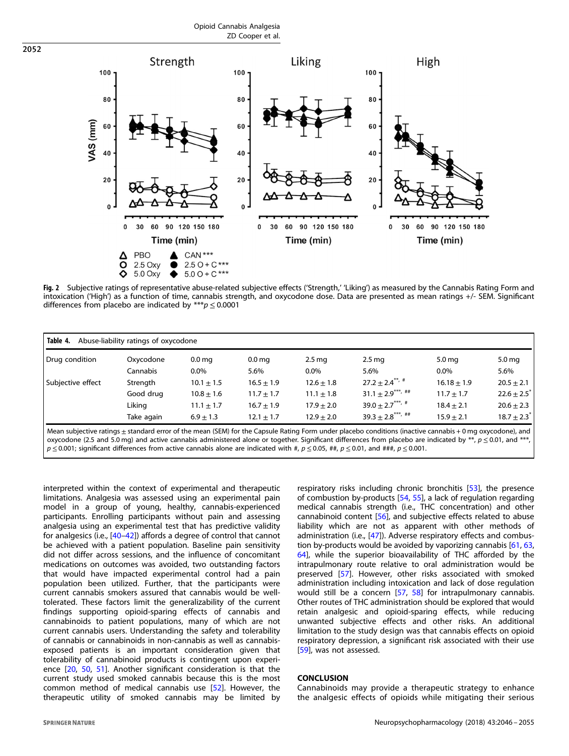Opioid Cannabis Analgesia ZD Cooper et al.



Fig. 2 Subjective ratings of representative abuse-related subjective effects ('Strength,' 'Liking') as measured by the Cannabis Rating Form and intoxication ('High') as a function of time, cannabis strength, and oxycodone dose. Data are presented as mean ratings +/- SEM. Significant differences from placebo are indicated by \*\*\* $p \le 0.0001$ 

| Table 4.<br>Abuse-liability ratings of oxycodone                                                                                                                      |            |                   |                   |                   |                                 |                   |                             |  |
|-----------------------------------------------------------------------------------------------------------------------------------------------------------------------|------------|-------------------|-------------------|-------------------|---------------------------------|-------------------|-----------------------------|--|
| Drug condition                                                                                                                                                        | Oxycodone  | 0.0 <sub>mg</sub> | 0.0 <sub>mg</sub> | 2.5 <sub>mg</sub> | 2.5 <sub>mg</sub>               | 5.0 <sub>mg</sub> | 5.0 <sub>mg</sub>           |  |
|                                                                                                                                                                       | Cannabis   | $0.0\%$           | 5.6%              | $0.0\%$           | 5.6%                            | $0.0\%$           | 5.6%                        |  |
| Subjective effect                                                                                                                                                     | Strength   | $10.1 \pm 1.5$    | $16.5 \pm 1.9$    | $12.6 \pm 1.8$    | $27.2 \pm 2.4***$               | $16.18 \pm 1.9$   | $20.5 \pm 2.1$              |  |
|                                                                                                                                                                       | Good drug  | $10.8 \pm 1.6$    | $11.7 \pm 1.7$    | $11.1 \pm 1.8$    | $31.1 \pm 2.9***$ , ##          | $11.7 + 1.7$      | $22.6 \pm 2.5$ <sup>*</sup> |  |
|                                                                                                                                                                       | Likina     | $11.1 \pm 1.7$    | $16.7 \pm 1.9$    | $17.9 + 2.0$      | $39.0 + 2.7***$ , #             | $18.4 + 2.1$      | $20.6 \pm 2.3$              |  |
|                                                                                                                                                                       | Take again | $6.9 + 1.3$       | $12.1 \pm 1.7$    | $12.9 + 2.0$      | $39.3 + 2.8$ <sup>***, ##</sup> | $15.9 + 2.1$      | $18.7 \pm 2.3$ <sup>*</sup> |  |
| Mean subjective ratings + standard error of the mean (SEM) for the Capsule Bating Form under placebo conditions (inactive cannabis + 0 mg oxycodone) and $\mathsf{L}$ |            |                   |                   |                   |                                 |                   |                             |  |

Mean subjective ratings±standard error of the mean (SEM) for the Capsule Rating Form under placebo conditions (inactive cannabis + 0 mg oxycodone), and<br>oxycodone (2.5 and 5.0 mg) and active cannabis administered alone or  $p \le 0.001$ ; significant differences from active cannabis alone are indicated with #,  $p \le 0.05$ , ##,  $p \le 0.01$ , and ###,  $p \le 0.001$ .

interpreted within the context of experimental and therapeutic limitations. Analgesia was assessed using an experimental pain model in a group of young, healthy, cannabis-experienced participants. Enrolling participants without pain and assessing analgesia using an experimental test that has predictive validity for analgesics (i.e., [[40](#page-8-0)–[42\]](#page-8-0)) affords a degree of control that cannot be achieved with a patient population. Baseline pain sensitivity did not differ across sessions, and the influence of concomitant medications on outcomes was avoided, two outstanding factors that would have impacted experimental control had a pain population been utilized. Further, that the participants were current cannabis smokers assured that cannabis would be welltolerated. These factors limit the generalizability of the current findings supporting opioid-sparing effects of cannabis and cannabinoids to patient populations, many of which are not current cannabis users. Understanding the safety and tolerability of cannabis or cannabinoids in non-cannabis as well as cannabisexposed patients is an important consideration given that tolerability of cannabinoid products is contingent upon experience [\[20](#page-8-0), [50,](#page-8-0) [51\]](#page-8-0). Another significant consideration is that the current study used smoked cannabis because this is the most common method of medical cannabis use [[52](#page-8-0)]. However, the therapeutic utility of smoked cannabis may be limited by

<span id="page-6-0"></span>2052

respiratory risks including chronic bronchitis [\[53](#page-8-0)], the presence of combustion by-products [[54,](#page-8-0) [55](#page-8-0)], a lack of regulation regarding medical cannabis strength (i.e., THC concentration) and other cannabinoid content [\[56](#page-8-0)], and subjective effects related to abuse liability which are not as apparent with other methods of administration (i.e., [[47](#page-8-0)]). Adverse respiratory effects and combustion by-products would be avoided by vaporizing cannabis [\[61,](#page-9-0) [63,](#page-9-0) [64](#page-9-0)], while the superior bioavailability of THC afforded by the intrapulmonary route relative to oral administration would be preserved [\[57\]](#page-8-0). However, other risks associated with smoked administration including intoxication and lack of dose regulation would still be a concern [\[57](#page-8-0), [58\]](#page-8-0) for intrapulmonary cannabis. Other routes of THC administration should be explored that would retain analgesic and opioid-sparing effects, while reducing unwanted subjective effects and other risks. An additional limitation to the study design was that cannabis effects on opioid respiratory depression, a significant risk associated with their use [[59\]](#page-8-0), was not assessed.

#### **CONCLUSION**

Cannabinoids may provide a therapeutic strategy to enhance the analgesic effects of opioids while mitigating their serious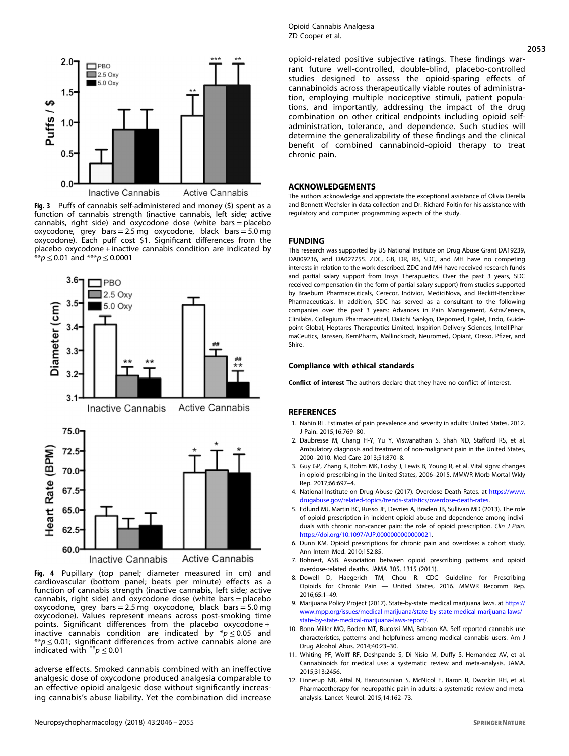<span id="page-7-0"></span>

Fig. 3 Puffs of cannabis self-administered and money (\$) spent as a function of cannabis strength (inactive cannabis, left side; active cannabis, right side) and oxycodone dose (white bars = placebo oxycodone, grey bars = 2.5 mg oxycodone, black bars = 5.0 mg oxycodone). Each puff cost \$1. Significant differences from the placebo oxycodone + inactive cannabis condition are indicated by  $p \le 0.01$  and  $p \le 0.0001$ 



Fig. 4 Pupillary (top panel; diameter measured in cm) and cardiovascular (bottom panel; beats per minute) effects as a function of cannabis strength (inactive cannabis, left side; active cannabis, right side) and oxycodone dose (white bars = placebo oxycodone, grey bars =  $2.5 \text{ mg}$  oxycodone, black bars =  $5.0 \text{ mg}$ oxycodone). Values represent means across post-smoking time points. Significant differences from the placebo oxycodone + inactive cannabis condition are indicated by  $* p \leq 0.05$  and \*\* $p \le 0.01$ ; significant differences from active cannabis alone are indicated with  $^{**}p \leq 0.01$ 

adverse effects. Smoked cannabis combined with an ineffective analgesic dose of oxycodone produced analgesia comparable to an effective opioid analgesic dose without significantly increasing cannabis's abuse liability. Yet the combination did increase 2053

opioid-related positive subjective ratings. These findings warrant future well-controlled, double-blind, placebo-controlled studies designed to assess the opioid-sparing effects of cannabinoids across therapeutically viable routes of administration, employing multiple nociceptive stimuli, patient populations, and importantly, addressing the impact of the drug combination on other critical endpoints including opioid selfadministration, tolerance, and dependence. Such studies will determine the generalizability of these findings and the clinical benefit of combined cannabinoid-opioid therapy to treat chronic pain.

# ACKNOWLEDGEMENTS

The authors acknowledge and appreciate the exceptional assistance of Olivia Derella and Bennett Wechsler in data collection and Dr. Richard Foltin for his assistance with regulatory and computer programming aspects of the study.

#### FUNDING

This research was supported by US National Institute on Drug Abuse Grant DA19239, DA009236, and DA027755. ZDC, GB, DR, RB, SDC, and MH have no competing interests in relation to the work described. ZDC and MH have received research funds and partial salary support from Insys Therapuetics. Over the past 3 years, SDC received compensation (in the form of partial salary support) from studies supported by Braeburn Pharmaceuticals, Cerecor, Indivior, MediciNova, and Reckitt-Benckiser Pharmaceuticals. In addition, SDC has served as a consultant to the following companies over the past 3 years: Advances in Pain Management, AstraZeneca, Clinilabs, Collegium Pharmaceutical, Daiichi Sankyo, Depomed, Egalet, Endo, Guidepoint Global, Heptares Therapeutics Limited, Inspirion Delivery Sciences, IntelliPharmaCeutics, Janssen, KemPharm, Mallinckrodt, Neuromed, Opiant, Orexo, Pfizer, and Shire.

#### Compliance with ethical standards

Conflict of interest The authors declare that they have no conflict of interest.

#### **REFERENCES**

- 1. Nahin RL. Estimates of pain prevalence and severity in adults: United States, 2012. J Pain. 2015;16:769–80.
- 2. Daubresse M, Chang H-Y, Yu Y, Viswanathan S, Shah ND, Stafford RS, et al. Ambulatory diagnosis and treatment of non-malignant pain in the United States, 2000–2010. Med Care 2013;51:870–8.
- 3. Guy GP, Zhang K, Bohm MK, Losby J, Lewis B, Young R, et al. Vital signs: changes in opioid prescribing in the United States, 2006–2015. MMWR Morb Mortal Wkly Rep. 2017;66:697–4.
- 4. National Institute on Drug Abuse (2017). Overdose Death Rates. at [https://www.](https://www.drugabuse.gov/related-topics/trends-statistics/overdose-death-rates) [drugabuse.gov/related-topics/trends-statistics/overdose-death-rates.](https://www.drugabuse.gov/related-topics/trends-statistics/overdose-death-rates)
- 5. Edlund MJ, Martin BC, Russo JE, Devries A, Braden JB, Sullivan MD (2013). The role of opioid prescription in incident opioid abuse and dependence among individuals with chronic non-cancer pain: the role of opioid prescription. Clin J Pain. [https://doi.org/10.1097/AJP.0000000000000021.](https://doi.org/10.1097/AJP.0000000000000021)
- 6. Dunn KM. Opioid prescriptions for chronic pain and overdose: a cohort study. Ann Intern Med. 2010;152:85.
- 7. Bohnert, ASB. Association between opioid prescribing patterns and opioid overdose-related deaths. JAMA 305, 1315 (2011).
- 8. Dowell D, Haegerich TM, Chou R. CDC Guideline for Prescribing Opioids for Chronic Pain — United States, 2016. MMWR Recomm Rep. 2016;65:1–49.
- 9. Marijuana Policy Project (2017). State-by-state medical marijuana laws. at [https://](https://www.mpp.org/issues/medical-marijuana/state-by-state-medical-marijuana-laws/state-by-state-medical-marijuana-laws-report/) [www.mpp.org/issues/medical-marijuana/state-by-state-medical-marijuana-laws/](https://www.mpp.org/issues/medical-marijuana/state-by-state-medical-marijuana-laws/state-by-state-medical-marijuana-laws-report/) [state-by-state-medical-marijuana-laws-report/.](https://www.mpp.org/issues/medical-marijuana/state-by-state-medical-marijuana-laws/state-by-state-medical-marijuana-laws-report/)
- 10. Bonn-Miller MO, Boden MT, Bucossi MM, Babson KA. Self-reported cannabis use characteristics, patterns and helpfulness among medical cannabis users. Am J Drug Alcohol Abus. 2014;40:23–30.
- 11. Whiting PF, Wolff RF, Deshpande S, Di Nisio M, Duffy S, Hernandez AV, et al. Cannabinoids for medical use: a systematic review and meta-analysis. JAMA. 2015;313:2456.
- 12. Finnerup NB, Attal N, Haroutounian S, McNicol E, Baron R, Dworkin RH, et al. Pharmacotherapy for neuropathic pain in adults: a systematic review and metaanalysis. Lancet Neurol. 2015;14:162–73.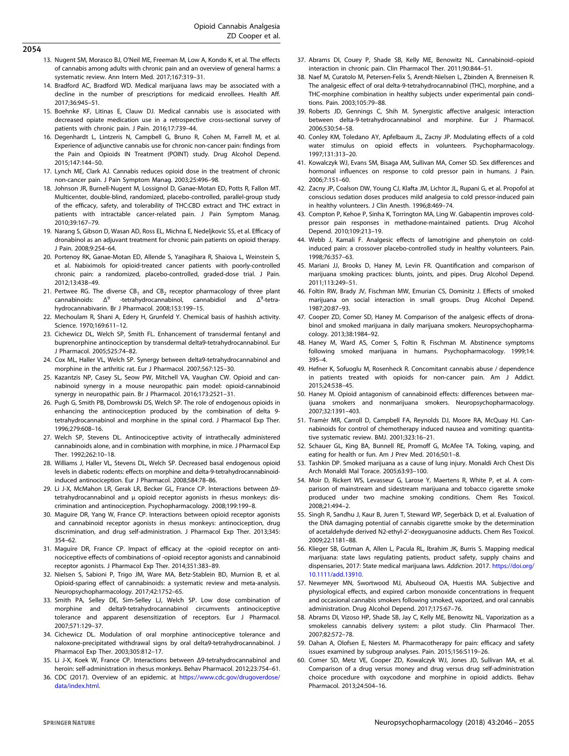- <span id="page-8-0"></span>2054
- 13. Nugent SM, Morasco BJ, O'Neil ME, Freeman M, Low A, Kondo K, et al. The effects of cannabis among adults with chronic pain and an overview of general harms: a systematic review. Ann Intern Med. 2017;167:319–31.
- 14. Bradford AC, Bradford WD. Medical marijuana laws may be associated with a decline in the number of prescriptions for medicaid enrollees. Health Aff. 2017;36:945–51.
- 15. Boehnke KF, Litinas E, Clauw DJ. Medical cannabis use is associated with decreased opiate medication use in a retrospective cross-sectional survey of patients with chronic pain. J Pain. 2016;17:739–44.
- 16. Degenhardt L, Lintzeris N, Campbell G, Bruno R, Cohen M, Farrell M, et al. Experience of adjunctive cannabis use for chronic non-cancer pain: findings from the Pain and Opioids IN Treatment (POINT) study. Drug Alcohol Depend. 2015;147:144–50.
- 17. Lynch ME, Clark AJ. Cannabis reduces opioid dose in the treatment of chronic non-cancer pain. J Pain Symptom Manag. 2003;25:496–98.
- 18. Johnson JR, Burnell-Nugent M, Lossignol D, Ganae-Motan ED, Potts R, Fallon MT. Multicenter, double-blind, randomized, placebo-controlled, parallel-group study of the efficacy, safety, and tolerability of THC:CBD extract and THC extract in patients with intractable cancer-related pain. J Pain Symptom Manag. 2010;39:167–79.
- 19. Narang S, Gibson D, Wasan AD, Ross EL, Michna E, Nedeljkovic SS, et al. Efficacy of dronabinol as an adjuvant treatment for chronic pain patients on opioid therapy. J Pain. 2008;9:254–64.
- 20. Portenoy RK, Ganae-Motan ED, Allende S, Yanagihara R, Shaiova L, Weinstein S, et al. Nabiximols for opioid-treated cancer patients with poorly-controlled chronic pain: a randomized, placebo-controlled, graded-dose trial. J Pain. 2012;13:438–49.
- 21. Pertwee RG. The diverse  $CB_1$  and  $CB_2$  receptor pharmacology of three plant cannabinoids:  $\Delta^9$  -tetrahydrocannabinol, cannabidiol and  $\Delta^9$ -tetracannabinoids: Δ<sup>9</sup> -tetrahydrocannabinol, cannabidiol and Δ<sup>9</sup>-tetrahydrocannabivarin. Br J Pharmacol. 2008;153:199–15.
- 22. Mechoulam R, Shani A, Edery H, Grunfeld Y. Chemical basis of hashish activity. Science. 1970;169:611–12.
- 23. Cichewicz DL, Welch SP, Smith FL. Enhancement of transdermal fentanyl and buprenorphine antinociception by transdermal delta9-tetrahydrocannabinol. Eur J Pharmacol. 2005;525:74–82.
- 24. Cox ML, Haller VL, Welch SP. Synergy between delta9-tetrahydrocannabinol and morphine in the arthritic rat. Eur J Pharmacol. 2007;567:125–30.
- 25. Kazantzis NP, Casey SL, Seow PW, Mitchell VA, Vaughan CW. Opioid and cannabinoid synergy in a mouse neuropathic pain model: opioid-cannabinoid synergy in neuropathic pain. Br J Pharmacol. 2016;173:2521–31.
- 26. Pugh G, Smith PB, Dombrowski DS, Welch SP. The role of endogenous opioids in enhancing the antinociception produced by the combination of delta 9 tetrahydrocannabinol and morphine in the spinal cord. J Pharmacol Exp Ther. 1996;279:608–16.
- 27. Welch SP, Stevens DL. Antinociceptive activity of intrathecally administered cannabinoids alone, and in combination with morphine, in mice. J Pharmacol Exp Ther. 1992;262:10–18.
- 28. Williams J, Haller VL, Stevens DL, Welch SP. Decreased basal endogenous opioid levels in diabetic rodents: effects on morphine and delta-9-tetrahydrocannabinoidinduced antinociception. Eur J Pharmacol. 2008;584:78–86.
- 29. Li J-X, McMahon LR, Gerak LR, Becker GL, France CP. Interactions between Δ9 tetrahydrocannabinol and μ opioid receptor agonists in rhesus monkeys: discrimination and antinociception. Psychopharmacology. 2008;199:199–8.
- 30. Maguire DR, Yang W, France CP. Interactions between opioid receptor agonists and cannabinoid receptor agonists in rhesus monkeys: antinociception, drug discrimination, and drug self-administration. J Pharmacol Exp Ther. 2013;345: 354–62.
- 31. Maguire DR, France CP. Impact of efficacy at the -opioid receptor on antinociceptive effects of combinations of -opioid receptor agonists and cannabinoid receptor agonists. J Pharmacol Exp Ther. 2014;351:383–89.
- 32. Nielsen S, Sabioni P, Trigo JM, Ware MA, Betz-Stablein BD, Murnion B, et al. Opioid-sparing effect of cannabinoids: a systematic review and meta-analysis. Neuropsychopharmacology. 2017;42:1752–65.
- 33. Smith PA, Selley DE, Sim-Selley LJ, Welch SP. Low dose combination of morphine and delta9-tetrahydrocannabinol circumvents antinociceptive tolerance and apparent desensitization of receptors. Eur J Pharmacol. 2007;571:129–37.
- 34. Cichewicz DL. Modulation of oral morphine antinociceptive tolerance and naloxone-precipitated withdrawal signs by oral delta9-tetrahydrocannabinol. J Pharmacol Exp Ther. 2003;305:812–17.
- 35. Li J-X, Koek W, France CP. Interactions between Δ9-tetrahydrocannabinol and heroin: self-administration in rhesus monkeys. Behav Pharmacol. 2012;23:754–61.
- 36. CDC (2017). Overview of an epidemic. at [https://www.cdc.gov/drugoverdose/](https://www.cdc.gov/drugoverdose/data/index.html) [data/index.html.](https://www.cdc.gov/drugoverdose/data/index.html)
- 37. Abrams DI, Couey P, Shade SB, Kelly ME, Benowitz NL. Cannabinoid–opioid interaction in chronic pain. Clin Pharmacol Ther. 2011;90:844–51.
- 38. Naef M, Curatolo M, Petersen-Felix S, Arendt-Nielsen L, Zbinden A, Brenneisen R. The analgesic effect of oral delta-9-tetrahydrocannabinol (THC), morphine, and a THC-morphine combination in healthy subjects under experimental pain conditions. Pain. 2003;105:79–88.
- 39. Roberts JD, Gennings C, Shih M. Synergistic affective analgesic interaction between delta-9-tetrahydrocannabinol and morphine. Eur J Pharmacol. 2006;530:54–58.
- 40. Conley KM, Toledano AY, Apfelbaum JL, Zacny JP. Modulating effects of a cold water stimulus on opioid effects in volunteers. Psychopharmacology. 1997;131:313–20.
- 41. Kowalczyk WJ, Evans SM, Bisaga AM, Sullivan MA, Comer SD. Sex differences and hormonal influences on response to cold pressor pain in humans. J Pain. 2006;7:151–60.
- 42. Zacny JP, Coalson DW, Young CJ, Klafta JM, Lichtor JL, Rupani G, et al. Propofol at conscious sedation doses produces mild analgesia to cold pressor-induced pain in healthy volunteers. J Clin Anesth. 1996;8:469–74.
- 43. Compton P, Kehoe P, Sinha K, Torrington MA, Ling W. Gabapentin improves coldpressor pain responses in methadone-maintained patients. Drug Alcohol Depend. 2010;109:213–19.
- 44. Webb J, Kamali F. Analgesic effects of lamotrigine and phenytoin on coldinduced pain: a crossover placebo-controlled study in healthy volunteers. Pain. 1998;76:357–63.
- 45. Mariani JJ, Brooks D, Haney M, Levin FR. Quantification and comparison of marijuana smoking practices: blunts, joints, and pipes. Drug Alcohol Depend. 2011;113:249–51.
- 46. Foltin RW, Brady JV, Fischman MW, Emurian CS, Dominitz J. Effects of smoked marijuana on social interaction in small groups. Drug Alcohol Depend. 1987;20:87–93.
- 47. Cooper ZD, Comer SD, Haney M. Comparison of the analgesic effects of dronabinol and smoked marijuana in daily marijuana smokers. Neuropsychopharmacology. 2013;38:1984–92.
- 48. Haney M, Ward AS, Comer S, Foltin R, Fischman M. Abstinence symptoms following smoked marijuana in humans. Psychopharmacology. 1999;14: 395–4.
- 49. Hefner K, Sofuoglu M, Rosenheck R. Concomitant cannabis abuse / dependence in patients treated with opioids for non-cancer pain. Am J Addict. 2015;24:538–45.
- 50. Haney M. Opioid antagonism of cannabinoid effects: differences between marijuana smokers and nonmarijuana smokers. Neuropsychopharmacology. 2007;32:1391–403.
- 51. Tramèr MR, Carroll D, Campbell FA, Reynolds DJ, Moore RA, McQuay HJ. Cannabinoids for control of chemotherapy induced nausea and vomiting: quantitative systematic review. BMJ. 2001;323:16–21.
- 52. Schauer GL, King BA, Bunnell RE, Promoff G, McAfee TA. Toking, vaping, and eating for health or fun. Am J Prev Med. 2016;50:1–8.
- 53. Tashkin DP. Smoked marijuana as a cause of lung injury. Monaldi Arch Chest Dis Arch Monaldi Mal Torace. 2005;63:93–100.
- 54. Moir D, Rickert WS, Levasseur G, Larose Y, Maertens R, White P, et al. A comparison of mainstream and sidestream marijuana and tobacco cigarette smoke produced under two machine smoking conditions. Chem Res Toxicol. 2008;21:494–2.
- 55. Singh R, Sandhu J, Kaur B, Juren T, Steward WP, Segerbäck D, et al. Evaluation of the DNA damaging potential of cannabis cigarette smoke by the determination of acetaldehyde derived N2-ethyl-2'-deoxyguanosine adducts. Chem Res Toxicol. 2009;22:1181–88.
- 56. Klieger SB, Gutman A, Allen L, Pacula RL, Ibrahim JK, Burris S. Mapping medical marijuana: state laws regulating patients, product safety, supply chains and dispensaries, 2017: State medical marijuana laws. Addiction. 2017. [https://doi.org/](https://doi.org/10.1111/add.13910) [10.1111/add.13910.](https://doi.org/10.1111/add.13910)
- 57. Newmeyer MN, Swortwood MJ, Abulseoud OA, Huestis MA. Subjective and physiological effects, and expired carbon monoxide concentrations in frequent and occasional cannabis smokers following smoked, vaporized, and oral cannabis administration. Drug Alcohol Depend. 2017;175:67–76.
- 58. Abrams DI, Vizoso HP, Shade SB, Jay C, Kelly ME, Benowitz NL. Vaporization as a smokeless cannabis delivery system: a pilot study. Clin Pharmacol Ther. 2007;82:572–78.
- 59. Dahan A, Olofsen E, Niesters M. Pharmacotherapy for pain: efficacy and safety issues examined by subgroup analyses. Pain. 2015;156:S119–26.
- 60. Comer SD, Metz VE, Cooper ZD, Kowalczyk WJ, Jones JD, Sullivan MA, et al. Comparison of a drug versus money and drug versus drug self-administration choice procedure with oxycodone and morphine in opioid addicts. Behav Pharmacol. 2013;24:504–16.